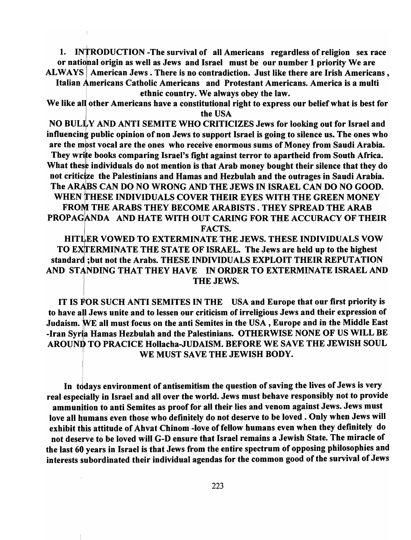1. INTRODUCTION -The survival of all Americans regardless of religion sex race or national origin as well as Jews and Israel must be our number 1 priority We are ALWAYS American Jews. There is no contradiction. Just like there are Irish Americans,

Italian Americans Catholic Americans and Protestant Americans. America is a multi ethnic country. We always obey the law.

We like all other Americans have a constitutional right to express our belief what is best for the USA

NO BULLY AND ANTI SEMITE WHO CRITICIZES Jews for looking out for Israel and influencing public opinion of non Jews to support Israel is going to silence us. The ones who are the most vocal are the ones who receive enormous sums of Money from Saudi Arabia.

They write books comparing Israel's fight against terror to apartheid from South Africa. What these individuals do not mention is that Arab money bought their silence that they do not criticize the Palestinians and Hamas and Hezbulah and the outrages in Saudi Arabia. The ARABS CAN DO NO WRONG AND THE JEWS IN ISRAEL CAN DO NO GOOD. WHEN THESE INDIVIDUALS COVER THEIR EYES WITH THE GREEN MONEY FROM THE ARABS THEY BECOME ARABISTS . THEY SPREAD THE ARAB PROPAGANDA AND HATE WITH OUT CARING FOR THE ACCURACY OF THEIR FACTS.

HITLER VOWED TO EXTERMINATE THE JEWS. THESE INDIVIDUALS VOW I TO EXfTERMINATE THE STATE OF ISRAEL. The Jews are held up to the highest standard ;but not the Arabs. THESE INDIVIDUALS EXPLOIT THEIR REPUTATION AND STANDING THAT THEY HAVE IN ORDER TO EXTERMINATE ISRAEL AND THE JEWS.

IT IS FOR SUCH ANTI SEMITES IN THE USA and Europe that our first priority is to have all Jews unite and to lessen our criticism of irreligious Jews and their expression of Judaism. WE all must focus on the anti Semites in the USA, Europe and in the Middle East -Iran Syria Hamas Hezbulah and the Palestinians. OTHERWISE NONE OF US WILL BE AROUND TO PRACICE Hollacha-JUDAISM. BEFORE WE SAVE THE JEWISH SOUL WE MUST SAVE THE JEWISH BODY.

I

Ť

In todays environment of antisemitism the question of saving the lives of Jews is very real especially in Israel and all over the world. Jews must behave responsibly not to provide<br>In ammunition to anti Semites as proof for all their lies and venom against Jews. Jews must love all humans even those who definitely do not deserve to be loved. Only when Jews will exhibit this attitude of Ahvat Chinom -love of fellow humans even when they definitely do not deserve to be loved will G-D ensure that Israel remains a Jewish State. The miracle of the last 60 years in Israel is that Jews from the entire spectrum of opposing philosophies and interests subordinated their individual agendas for the common good of the survival of Jews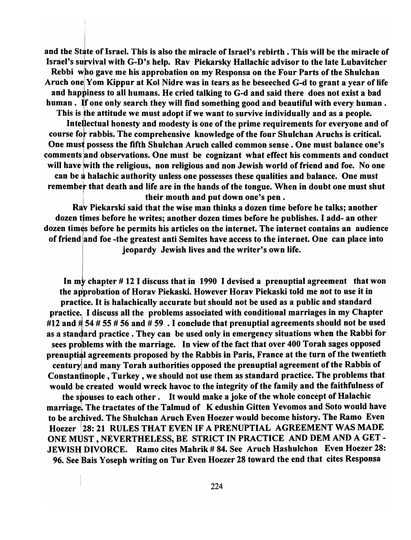and the State of Israel. This is also the miracle of Israel's rebirth. This will be the miracle of Israel's survival with G-D's help. Rav Piekarsky Hallachic advisor to the late Lubavitcher Rebbi who gave me his approbation on my Responsa on the Four Parts of the Shulchan Aruch one Yom Kippur at Kol Nidre was in tears as he beseeched G-d to grant a year of life and happiness to all humans. He cried talking to G-d and said there does not exist a bad human. If one only search they will find something good and beautiful with every human. This is the attitude we must adopt if we want to survive individually and as a people.

I

Intelectual honesty and modesty is one of the prime requirements for everyone and of course for rabbis. The comprehensive knowledge of the four Shulchan Aruchs is critical. One must possess the fifth Shulchan Aruch called common sense. One must balance one's comments and observations. One must be cognizant what effect his comments and conduct will have with the religious, non religious and non Jewish world of friend and foe. No one can be a halachic authority unless one possesses these qualities and balance. One must remember that death and life are in the hands of the tongue. When in doubt one must shut

l their mouth and put down one's pen .<br>
Ray Piekarski said that the wise man thinks a dozen time before he talks; another dozen times before he writes; another dozen times before he publishes. I add- an other dozen times before he permits his articles on the internet. The internet contains an audience of friend and foe -the greatest anti Semites have access to the internet. One can place into jeopardy Jewish lives and the writer's own life.

In my chapter  $# 12$  I discuss that in 1990 I devised a prenuptial agreement that won the approbation of Horav Piekaski. However Horav Piekaski told me not to use it in practice. It is halachically accurate but should not be used as a public and standard <sup>I</sup>practice. I discuss all the problems associated with conditional marriages in my Chapter #12 and  $\#54$  # 55 # 56 and # 59. I conclude that prenuptial agreements should not be used as a standard practice. They can be used only in emergency situations when the Rabbi for sees problems with the marriage. In view of the fact that over 400 Torah sages opposed prenuptial agreements proposed by the Rabbis in Paris, France at the turn of the twentieth century and many Torah authorities opposed the prenuptial agreement of the Rabbis of Constantinople, Turkey, we should not use them as standard practice. The problems that would be created would wreck havoc to the integrity of the family and the faithfulness of the spouses to each other. It would make a joke of the whole concept of Halachic marriage. The tractates of the Talmud of K edushin Gitten Yevomos and Soto would have to be archived. The Shulchan Aruch Even Hoezer would become history. The Ramo Even Hoezer 28: 21 RULES THAT EVEN IF A PRENUPTIAL AGREEMENT WAS MADE ONE MUST, NEVERTHELESS, BE STRICT IN PRACTICE AND DEM AND A GET - JEWISH DIVORCE. Ramo cites Mahrik # 84. See Aruch Hashulchon Even Hoezer 28: 96. See Bais Yoseph writing on Tur Even Hoezer 28 toward the end that cites Responsa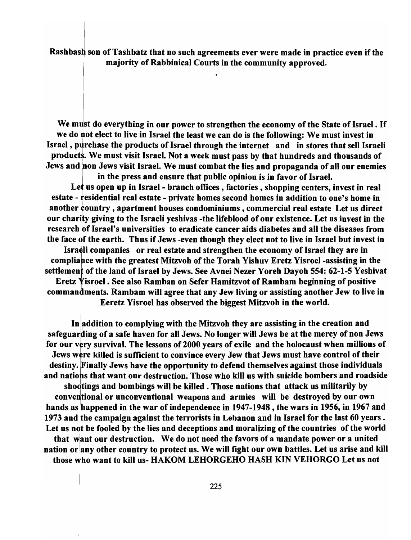Rashbash son of Tashbatz that no such agreements ever were made in practice even if the majority of Rabbinical Courts in the community approved.

We must do everything in our power to strengthen the economy of the State of Israel. If we do not elect to live in Israel the least we can do is the following: We must invest in Israel, purchase the products of Israel through the internet and in stores that sell Israeli products. We must visit Israel. Not a week must pass by that hundreds and thousands of Jews and non Jews visit Israel. We must combat the lies and propaganda of all our enemies

in the press and ensure that public opinion is in favor of Israel. Let us open up in Israel - branch offices, factories, shopping centers, invest in real estate - tesidential real estate - private homes second homes in addition to one's home in I CONSECT TO BE USED THAT THE PART OF THE ROWS SECOND HOMES IN BRITISH TO ONE 5 HOMES IN our charity giving to the Israeli yeshivas -the lifeblood of our existence. Let us invest in the research of Israel's universities to eradicate cancer aids diabetes and all the diseases from another country, apartment houses condominiums, commercial real estate Let us direct<br>our charity giving to the Israeli yeshivas -the lifeblood of our existence. Let us invest in the<br>research of Israel's universities to era Israeli companies or real estate and strengthen the economy of Israel they are in compliance with the greatest Mitzvoh of the Torah Yishuv Eretz Yisroel -assisting in the settlement of the land of Israel by Jews. See Avnei Nezer Yoreh Dayoh 554: 62-1-5 Yeshivat Eretz Yisroel . See also Ramban on Sefer Hamitzvot of Rambam beginning of positive commantments. Rambam will agree that any Jew living or assisting another Jew to live in Eeretz Yisroel has observed the biggest Mitzvoh in the world.

In addition to complying with the Mitzvoh they are assisting in the creation and safeguarding of a safe haven for all Jews. No longer will Jews be at the mercy of non Jews for our very survival. The lessons of 2000 years of exile and the holocaust when millions of Jews were killed is sufficient to convince every Jew that Jews must have control of their destiny. Finally Jews have the opportunity to defend themselves against those individuals and nations that want our destruction. Those who kill us with suicide bombers and roadside shootings and bombings will be killed. Those nations that attack us militarily by conventional or unconventional weapons and armies will be destroyed by our own hands as happened in the war of independence in 1947-1948, the wars in 1956, in 1967 and 1973 and the campaign against the terrorists in Lebanon and in Israel for the last 60 years. Let us not be fooled by the lies and deceptions and moralizing of the countries of the world that want our destruction. We do not need the favors of a mandate power or a united nation or any other country to protect us. We will fight our own battles. Let us arise and kill those who want to kill us- HAKOM LEHORGEHO HASH KIN VEHORGO Let us not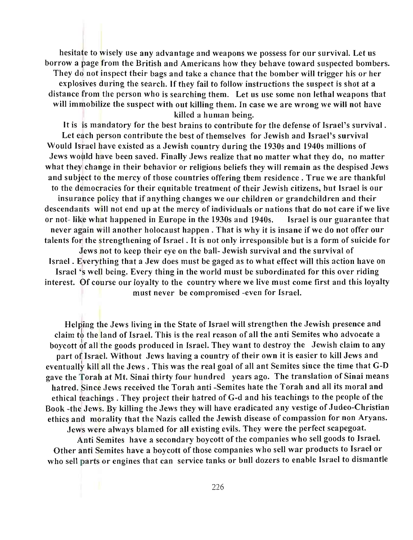hesitate to wisely use any advantage and weapons we possess for our survival. Let us borrow a page from the British and Americans how they behave toward suspected bombers. They do not inspect their bags and take a chance that the bomber will trigger his or her explosives during the search. If they fail to follow instructions the suspect is shot at a distance from the person who is searching them. Let us use some non lethal weapons that will immobilize the suspect with out killing them. In case we are wrong we will not have killed a human being.

It is is mandatory for the best brains to contribute for the defense of Israel's survival. Let each person contribute the best of themselves for Jewish and Israel's survival Would Israel have existed as a Jewish country during the 1930s and 1940s millions of Jews would have been saved. Finally Jews realize that no matter what they do, no matter what they change in their behavior or religious beliefs they will remain as the despised Jews and subject to the mercy of those countries offering them residence. True we are thankful to the democracies for their equitable treatment of their Jewish citizens, but Israel is our insurance policy that if anything changes we our children or grandchildren and their descendants will not end up at the mercy of individuals or nations that do not care if we live or not-like what happened in Europe in the 1930s and 1940s. Israel is our guarantee that never again will another holocaust happen. That is why it is insane if we do not offer our talents for the strengthening of Israel. It is not only irresponsible but is a form of suicide for Jews not to keep their eye on the ball- Jewish survival and the survival of Israel. Everything that a Jew does must be gaged as to what effect will this action have on Israel's well being. Every thing in the world mnst be subordinated for this over riding interest. Of course our loyalty to the country where we live must come first and this loyalty

must never be compromised -even for Israel.

Helping the Jews living in the State of Israel will strengthen the Jewish presence and claim *tb* the land of Israel. This is the real reason of all the anti Semites who advocate a boycott of all the goods prodnced in Israel. They want to destroy the Jewish claim to any part of Israel. Without Jews having a country of their own it is easier to kill Jews and eventually kill all the Jews. This was the real goal of all ant Semites since the time that G-D gave the Torah at Mt. Sinai thirty four hundred years ago. The translation of Sinai means hatred. Since Jews received the Torah anti -Semites hate the Torah and all its moral and ethical teachings. They project their hatred of G-d and his teachings to the people of the Book -the Jews. By killing the Jews they will have eradicated any vestige of Judeo-Christian ethics and morality that the Nazis called the Jewish disease of compassion for non Aryans. Jews were always blamed for all existing evils. They were the perfect scapegoat.

Anti Semites have a secondary boycott of the companies who sell goods to Israel. Other anti Semites have a boycott of those companies who sell war products to Israel or who sell parts or engines that can service tanks or bull dozers to enable Israel to dismantle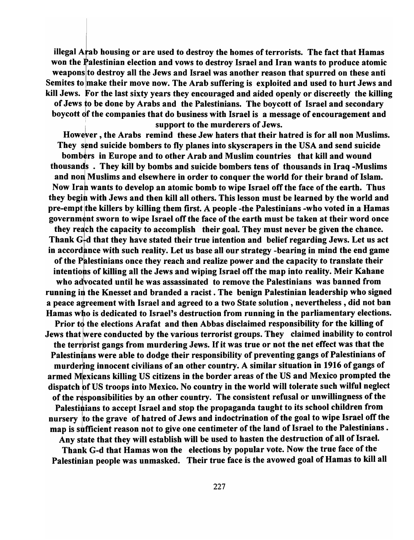illegal  $A$ rab housing or are used to destroy the homes of terrorists. The fact that Hamas won the Palestinian election and vows to destroy Israel and Iran wants to produce atomic weapons to destroy all the Jews and Israel was another reason that spurred on these anti Semites to make their move now. The Arab suffering is exploited and used to hurt Jews and kill Jews. For the last sixty years they encouraged and aided openly or discreetly the killing of Jews to be done by Arabs and the Palestinians. The boycott of Israel and secondary boycott of the companies that do business with Israel is a message of encouragement and support to the murderers of Jews.

I

However, the Arabs remind these Jew haters that their hatred is for all non Muslims. They send suicide bombers to fly planes into skyscrapers in the USA and send suicide bombers in Europe and to other Arab and Muslim countries that kill and wound thousands . They kill by bombs and suicide bombers tens of thousands in Iraq -Muslims and non Muslims and elsewhere in order to conquer the world for their brand of Islam. Now Iran wants to develop an atomic bomb to wipe Israel off the face of the earth. Thus they begin with Jews and then kill all others. This lesson must be learned by the world and pre-empt the killers by killing them first. A people -the Palestinians -who voted in a Hamas government sworn to wipe Israel off the face of the earth must be taken at their word once they reach the capacity to accomplish their goal. They must never be given the chance. Thank  $G<sub>r</sub>$ d that they have stated their true intention and belief regarding Jews. Let us act in accordance with such reality. Let us base all our strategy -bearing in mind the end game of the Palestinians once they reach and realize power and the capacity to translate their intentions of killing all the Jews and wiping Israel off the map into reality. Meir Kahane who advocated until he was assassinated to remove the Palestinians was banned from running in the Knesset and branded a racist. The benign Palestinian leadership who signed a peace agreement with Israel and agreed to a two State solution, nevertheless, did not ban Hamas who is dedicated to Israel's destruction from running in the parliamentary elections. Prior to the elections Arafat and then Abbas disclaimed responsibility for the killing of Jews that were conducted by the various terrorist groups. They claimed inability to control the terrorist gangs from murdering Jews. If it was true or not the net effect was that the Palestinians were able to dodge their responsibility of preventing gangs of Palestinians of murdering innocent civilians of an other country. A similar situation in 1916 of gangs of armed Mexicans killing US citizens in the border areas of the US and Mexico prompted the dispatch of US troops into Mexico. No country in the world will tolerate such wilful neglect of the responsibilities by an other country. The consistent refusal or unwillingness of the Palestinians to accept Israel and stop the propaganda taught to its school children from nursery to the grave of hatred of Jews and indoctrination of the goal to wipe Israel off the map is sufficient reason not to give one centimeter of the land of Israel to the Palestinians . Any state that they will establish will be used to hasten the destruction of all of Israel.

Thank G-d that Hamas won the elections by popular vote. Now the true face of the

Palestinian people was unmasked. Their true face is the avowed goal of Hamas to kill all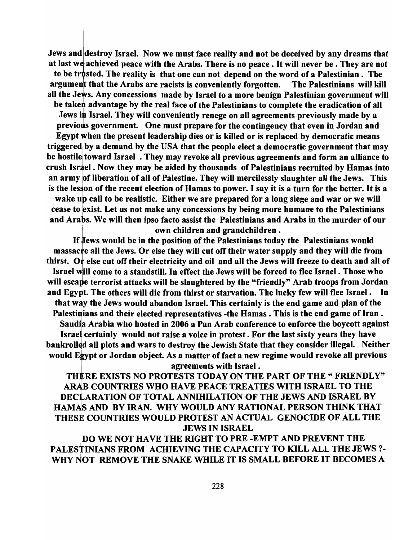Jews and destroy Israel. Now we must face reality and not be deceived by any dreams that at last we achieved peace with the Arabs. There is no peace . It will never be . They are not to be trusted. The reality is that one can not depend on the word of a Palestinian. The argument that the Arabs are racists is conveniently forgotten. The Palestinians will kill all the Jews. Any concessions made by Israel to a more benign Palestinian government will be taken advantage by the real face of the Palestinians to complete the eradication of all Jews in Israel. They will conveniently renege on all agreements previously made by a previous government. One must prepare for the contingency that even in Jordan and Egypt when the present leadership dies or is killed or is replaced by democratic means triggered by a demand by the USA that the people elect a democratic government that may be hostile toward Israel. They may revoke all previous agreements and form an alliance to crush Israel. Now they may be aided by thousands of Palestinians recruited by Hamas into an army of liberation of all of Palestine. They will mercilessly slaughter all the Jews. This is the lesson of the recent election of Hamas to power. I say it is a turn for the better. It is a wake up call to be realistic. Either we are prepared for a long siege and war or we will cease to exist. Let us not make any concessions by being more humane to the Palestinians and Arabs. We will then ipso facto assist the Palestinians and Arabs in the murder of our own children and grandchildren.

If Jews would be in the position of the Palestinians today the Palestinians would massacre all the Jews. Or else they will cut off their water supply and they will die from thirst. Or else cut off their electricity and oil and all the Jews will freeze to death and all of Israel will come to a standstill. In effect the Jews will be forced to flee Israel. Those who will escape terrorist attacks will be slaughtered by the "friendly" Arab troops from Jordan and Egypt. The others will die from thirst or starvation. The lucky few will flee Israel. In that way the Jews would abandon Israel. This certainly is the end game and plan of the Palestinians and their elected representatives -the Hamas. This is the end game of Iran. Saudia Arabia who hosted in 2006 a Pan Arab conference to enforce the boycott against Israel certainly would not raise a voice in protest. For the last sixty years they have bankrolled all plots and wars to destroy the Jewish State that they consider illegal. Neither would Egypt or Jordan object. As a matter of fact a new regime would revoke all previous

#### agreements with Israel.

THERE EXISTS NO PROTESTS TODAY ON THE PART OF THE "FRIENDLY" ARAB COUNTRIES WHO HAVE PEACE TREATIES WITH ISRAEL TO THE DECLARATION OF TOTAL ANNIHILATION OF THE JEWS AND ISRAEL BY HAMAS AND BY IRAN. WHY WOULD ANY RATIONAL PERSON THINK THAT THESE COUNTRIES WOULD PROTEST AN ACTUAL GENOCIDE OF ALL THE JEWS IN ISRAEL

DO WE NOT HAVE THE RIGHT TO PRE -EMPT AND PREVENT THE PALESTINIANS FROM ACHIEVING THE CAPACITY TO KILL ALL THE JEWS?- WHY NOT REMOVE THE SNAKE WHILE IT IS SMALL BEFORE IT BECOMES A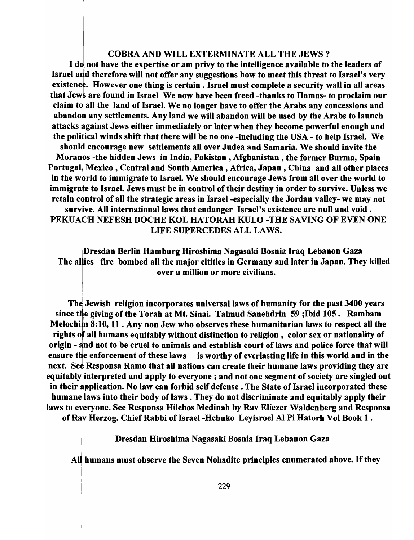#### COBRA AND WILL EXTERMINATE ALL THE JEWS? .

I do not have the expertise or am privy to the intelligence available to the leaders of Israel and therefore will not offer any suggestions how to meet this threat to Israel's very existence. However one thing is certain . Israel must complete a security wall in all areas that Jews are found in Israel We now have been freed -thanks to Hamas- to proclaim our claim to all the land of Israel. We no longer have to offer the Arabs any concessions and abandon any settlements. Any land we will abandon will be used by the Arabs to launch attacks gainst Jews either immediately or later when they become powerful enough and the political winds shift that there will be no one -including the USA - to help Israel. We should encourage new settlements all over Judea and Samaria. We should invite the Moranos -the hidden Jews in India, Pakistan, Afghanistan, the former Burma, Spain Portugal, Mexico, Central and South America, Africa, Japan, China and all other places in the world to immigrate to Israel. We should encourage Jews from all over the world to immigrate to Israel. Jews must be in control of their destiny in order to survive. Unless we retain control of all the strategic areas in Israel -especially the Jordan valley- we may not survive. All international laws that endanger Israel's existence are null and void. PEKUACH NEFESH DOCHE KOL HATORAH KULO -THE SAVING OF EVEN ONE

LIFE SUPERCEDES ALL LAWS.

Dresdan Berlin Hamburg Hiroshima Nagasaki Bosnia Iraq Lebanon Gaza The allies fire bombed all the major citities in Germany and later in Japan. They killed over a million or more civilians.

The Jewish religion incorporates universal laws of humanity for the past 3400 years since the giving of the Torah at Mt. Sinai. Talmud Sanehdrin 59; Ibid 105. Rambam Melochim 8:10, 11 . Any non Jew who observes these humanitarian laws to respect all the rights of all humans equitably without distinction to religion, color sex or nationality of origin - and not to be cruel to animals and establish court of laws and police force that will ensure the enforcement of these laws is worthy of everlasting life in this world and in the next. See Responsa Ramo that all nations can create their humane laws providing they are equitably interpreted and apply to everyone; and not one segment of society are singled out in their application. No law can forbid self defense. The State of Israel incorporated these humane laws into their body of laws . They do not discriminate and equitably apply their laws to everyone. See Responsa Hilchos Medinah by Rav Eliezer Walden berg and Responsa of Rav Herzog. Chief Rabbi of Israel -Hchuko Leyisroel AI Pi Hatorh Vol Book 1 .

<sup>I</sup>Dresdan Hiroshima Nagasaki Bosnia Iraq Lebanon Gaza

All humans must observe the Seven Nohadite principles enumerated above. If they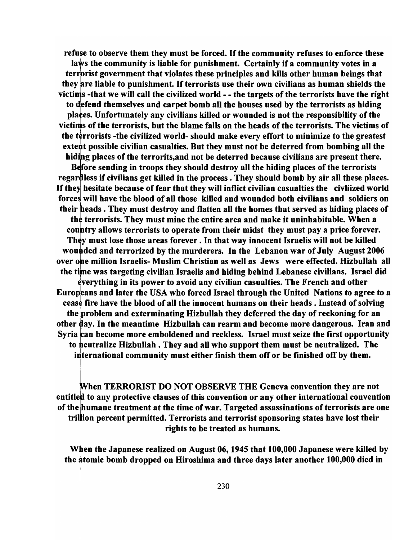refuse to observe them they must be forced. If the community refuses to enforce these laws the community is liable for punishment. Certainly if a community votes in a terrorist government that violates these principles and kills other human beings that they are liable to punishment. If terrorists use their own civilians as human shields the victims -that we will call the civilized world - - the targets of the terrorists have the right<br>to defend themselves and carpet bomb all the houses used by the terrorists as hiding to defend themselves and carpet bomb all the houses used by the terrorists as hiding places. Unfortunately any civilians killed or wounded is not the responsibility of the victims of the terrorists, but the blame falls on the heads of the terrorists. The victims of the terrorists -the civilized world- should make every effort to minimize to the greatest extent possible civilian casualties. But they must not be deterred from bombing all the hiding places of the terrorits, and not be deterred because civilians are present there. Before sending in troops they should destroy all the hiding places of the terrorists regardless if civilians get killed in the process. They should bomb by air all these places. If they hesitate because of fear that they will inflict civilian casualties the civliized world forces will have the blood of all those killed and wounded both civilians and soldiers on their beads. They must destroy and flatten all the homes that served as hiding places of the terrorists. They must mine the entire area and make it uninhabitable. When a country allows terrorists to operate from their midst they must pay a price forever. They must lose those areas forever. In that way innocent Israelis will not be killed wounded and terrorized by the murderers. In the Lebanon war of July August 2006 over one million Israelis- Muslim Christian as well as Jews were effected. Hizbullah all the time was targeting civilian Israelis and hiding behind Lebanese civilians. Israel did everything in its power to avoid any civilian casualties. The French and other Europeans and later the USA who forced Israel through the United Nations to agree to a cease fire have the blood of all the innocent humans on their heads. Instead of solving the problem and exterminating Hizbullah they deferred the day of reckoning for an other day. In the meantime Hizbullah can rearm and become more dangerous. Iran and Syria can become more emboldened and reckless. Israel must seize the first opportunity to neutralize Hizbullah. They and all who support them must be neutralized. The international community must either finish them off or be finished off by them.

When TERRORIST DO NOT OBSERVE THE Geneva convention they are not entitled to any protective clauses of this convention or any other international convention of the humane treatment at the time of war. Targeted assassinations of terrorists are one trillion percent permitted. Terrorists and terrorist sponsoring states have lost their rights to be treated as humans.

When the Japanese realized on August 06, 1945 that 100,000 Japanese were killed by the atomic bomb dropped on Hiroshima and three days later another 100,000 died in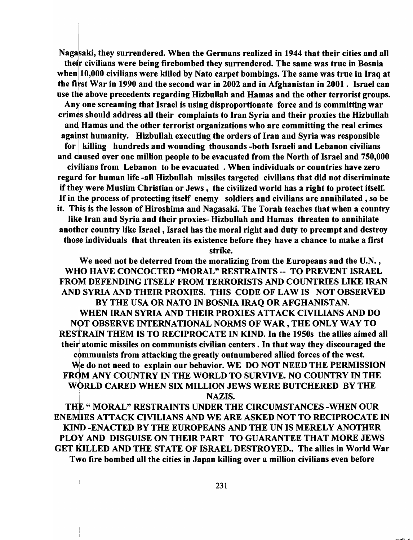Nagasaki, they surrendered. When the Germans realized in 1944 that their cities and all their civilians were being firebombed they surrendered. The same was true in Bosnia when 10,000 civilians were killed by Nato carpet bombings. The same was true in Iraq at the fitst War in 1990 and the second war in 2002 and in Afghanistan in 2001. Israel can use the above precedents regarding Hizbullah and Hamas and the other terrorist groups. Any one screaming that Israel is using disproportionate force and is committing war crimes should address all their complaints to Iran Syria and their proxies the Hizbullah and Hamas and the other terrorist organizations who are committing the real crimes against humanity. Hizbullah executing the orders of Iran and Syria was responsible for | killing hundreds and wounding thousands -both Israeli and Lebanon civilians and caused over one million people to be evacuated from the North of Israel and 750,000 civilians from Lebanon to be evacuated. When individuals or countries have zero regard for human life -all Hizbullah missiles targeted civilians that did not discriminate if they were Muslim Christian or Jews, the civilized world has a right to protect itself. If in the process of protecting itself enemy soldiers and civilians are annihilated, so be it. This is the lesson of Hiroshima and Nagasaki. The Torah teaches that when a country like Iran and Syria and their proxies- Hizbullah and Hamas threaten to annihilate another country like Israel, Israel has the moral right and duty to preempt and destroy those individuals that threaten its existence before they have a chance to make a first

strike.

We need not be deterred from the moralizing from the Europeans and the U.N., WHO HAVE CONCOCTED "MORAL" RESTRAINTS -- TO PREVENT ISRAEL FROM DEFENDING ITSELF FROM TERRORISTS AND COUNTRIES LIKE IRAN AND SYRIA AND THEIR PROXIES. THIS CODE OF LAW IS NOT OBSERVED BY THE USA OR NATO IN BOSNIA IRAQ OR AFGHANISTAN. IWHEN IRAN SYRIA AND THEIR PROXIES ATTACK CIVILIANS AND DO NOT OBSERVE INTERNATIONAL NORMS OF WAR, THE ONLY WAY TO <sup>I</sup> RESTRAIN THEM IS TO RECIPROCATE IN KIND. In the 1950s the allies aimed all their atomic missiles on communists civilian centers. In that way they discouraged the communists from attacking the greatly outnumbered allied forces of the west. We do not need to explain our behavior. WE DO NOT NEED THE PERMISSION FROM ANY COUNTRY IN THE WORLD TO SURVIVE. NO COUNTRY IN THE WORLD CARED WHEN SIX MILLION JEWS WERE BUTCHERED BY THE NAZIS.

THE " MORAL" RESTRAINTS UNDER THE CIRCUMSTANCES -WHEN OUR ENEMIES ATTACK CIVILIANS AND WE ARE ASKED NOT TO RECIPROCATE IN KIND -ENACTED BY THE EUROPEANS AND THE UN IS MERELY ANOTHER PLOY AND DISGUISE ON THEIR PART TO GUARANTEE THAT MORE JEWS GET KILLED AND THE STATE OF ISRAEL DESTROYED.. The allies in World War Two fire bombed all the cities in Japan killing over a million civilians even before

Ŋ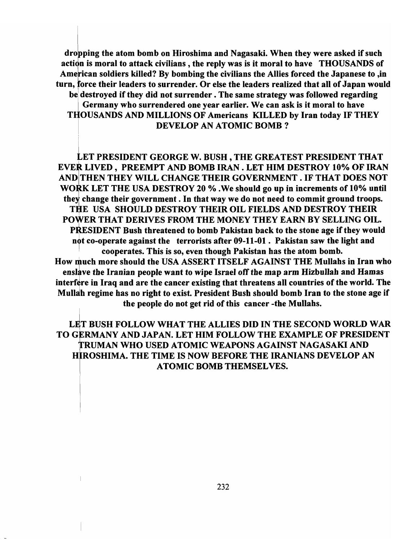dropping the atom bomb on Hiroshima and Nagasaki. When they were asked if such action is moral to attack civilians, the reply was is it moral to have THOUSANDS of American soldiers killed? By bombing the civilians the Allies forced the Japanese to, in turn, force their leaders to surrender. Or else the leaders realized that all of Japan would be destroyed if they did not surrender. The same strategy was followed regarding Germany who surrendered one year earlier. We can ask is it moral to have THOUSANDS AND MILLIONS OF Americans KILLED by Iran today IF THEY DEVELOP AN ATOMIC BOMB?

LET PRESIDENT GEORGE W. BUSH, THE GREATEST PRESIDENT THAT EVER LIVED, PREEMPT AND BOMB IRAN. LET HIM DESTROY 10% OF IRAN AND THEN THEY WILL CHANGE THEIR GOVERNMENT. IF THAT DOES NOT WORK LET THE USA DESTROY 20 % .We should go up in increments of 10% until they change their government. In that way we do not need to commit ground troops. THE USA SHOULD DESTROY THEIR OIL FIELDS AND DESTROY THEIR POWER THAT DERIVES FROM THE MONEY THEY EARN BY SELLING OIL. PRESIDENT Bush threatened to bomb Pakistan back to the stone age if they would not co-operate against the terrorists after  $09-11-01$ . Pakistan saw the light and , cooperates. This is so, even though Pakistan has the atom bomb. How much more should the USA ASSERT ITSELF AGAINST THE Mullahs in Iran who enslave the Iranian people want to wipe Israel off the map arm Hizbullah and Hamas interfere in Iraq and are the cancer existing that threatens all countries of the world. The Mullah regime has no right to exist. President Bush should bomb Iran to the stone age if the people do not get rid of this cancer -the Mullahs.

LET BUSH FOLLOW WHAT THE ALLIES DID IN THE SECOND WORLD WAR TO GERMANY AND JAPAN. LET HIM FOLLOW THE EXAMPLE OF PRESIDENT TRUMAN WHO USED ATOMIC WEAPONS AGAINST NAGASAKI AND HIROSHIMA. THE TIME IS NOW BEFORE THE IRANIANS DEVELOP AN ATOMIC BOMB THEMSELVES.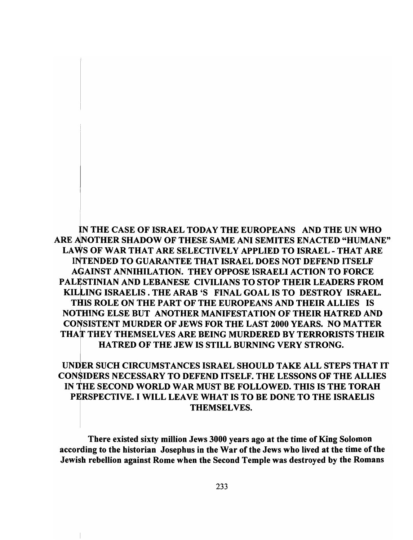IN THE CASE OF ISRAEL TODAY THE EUROPEANS AND THE UN WHO ARE ANOTHER SHADOW OF THESE SAME ANI SEMITES ENACTED "HUMANE" LAWS OF WAR THAT ARE SELECTIVELY APPLIED TO ISRAEL - THAT ARE INTENDED TO GUARANTEE THAT ISRAEL DOES NOT DEFEND ITSELF AGAINST ANNIHILATION. THEY OPPOSE ISRAELI ACTION TO FORCE PALESTINIAN AND LEBANESE CIVILIANS TO STOP THEIR LEADERS FROM KILLING ISRAELIS. THE ARAB 'S FINAL GOAL IS TO DESTROY ISRAEL. THIS ROLE ON THE PART OF THE EUROPEANS AND THEIR ALLIES IS NOTHING ELSE BUT ANOTHER MANIFESTATION OF THEIR HATRED AND CONSISTENT MURDER OF JEWS FOR THE LAST 2000 YEARS. NO MATTER THAT THEY THEMSELVES ARE BEING MURDERED BY TERRORISTS THEIR HATRED OF THE JEW IS STILL BURNING VERY STRONG.

## UNDER SUCH CIRCUMSTANCES ISRAEL SHOULD TAKE ALL STEPS THAT IT CONSIDERS NECESSARY TO DEFEND ITSELF. THE LESSONS OF THE ALLIES I IN THE SECOND WORLD WAR MUST BE FOLLOWED. THIS IS THE TORAH PERSPECTIVE. I WILL LEAVE WHAT IS TO BE DONE TO THE ISRAELIS THEMSEL VES.

There existed sixty million Jews 3000 years ago at the time of King Solomon according to the historian Josephus in the War of the Jews who lived at the time of the Jewish rebellion against Rome when the Second Temple was destroyed by the Romans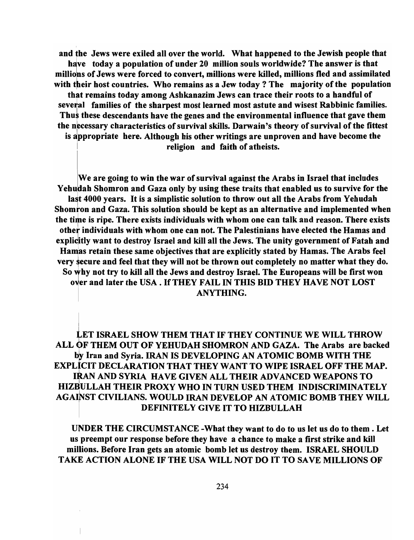and the Jews were exiled all over the world. What happened to the Jewish people that have today a population of under 20 million souls worldwide? The answer is that millions of Jews were forced to convert, millions were killed, millions fled and assimilated with their host countries. Who remains as a Jew today? The majority of the population that remains today among Ashkanazim Jews can trace their roots to a handful of several families of the sharpest most learned most astute and wisest Rabbinic families. Thus these descendants have the genes and the environmental influence that gave them the necessary characteristics of survival skills. Darwain's theory of survival of the fittest is appropriate here. Although his other writings are unproven and have become the religion and faith of atheists.

We are going to win the war of survival against the Arabs in Israel that includes Yehudah Shomron and Gaza only by using these traits that enabled us to survive for the last 4000 years. It is a simplistic solution to throw out all the Arabs from Yehudah Shomron and Gaza. This solution should be kept as an alternative and implemented when the time is ripe. There exists individuals with whom one can talk and reason. There exists other individuals with whom one can not. The Palestinians have elected the Hamas and explicitly want to destroy Israel and kill all the Jews. The unity government of Fatah and Hamas retain these same objectives that are explicitly stated by Hamas. The Arabs feel very secure and feel that they will not be thrown out completely no matter what they do. So why not try to kill all the Jews and destroy Israel. The Europeans will be first won over and later the USA. If THEY FAIL IN THIS BID THEY HAVE NOT LOST ANYTHING.

LET ISRAEL SHOW THEM THAT IF THEY CONTINUE WE WILL THROW ALL OF THEM OUT OF YEHUDAH SHOMRON AND GAZA. The Arabs are backed by Iran and Syria. IRAN IS DEVELOPING AN ATOMIC BOMB WITH THE EXPLICIT DECLARATION THAT THEY WANT TO WIPE ISRAEL OFF THE MAP. IRAN AND SYRIA HAVE GIVEN ALL THEIR ADVANCED WEAPONS TO HIZBULLAH THEIR PROXY WHO IN TURN USED THEM INDISCRIMINATELY AGAINST CIVILIANS. WOULD IRAN DEVELOP AN ATOMIC BOMB THEY WILL DEFINITELY GIVE IT TO HIZBULLAH

UNDER THE CIRCUMSTANCE -What they want to do to us let us do to them. Let us preempt our response before they have a chance to make a first strike and kill millions. Before Iran gets an atomic bomb let us destroy them. ISRAEL SHOULD TAKE ACTION ALONE IF THE USA WILL NOT DO IT TO SAVE MILLIONS OF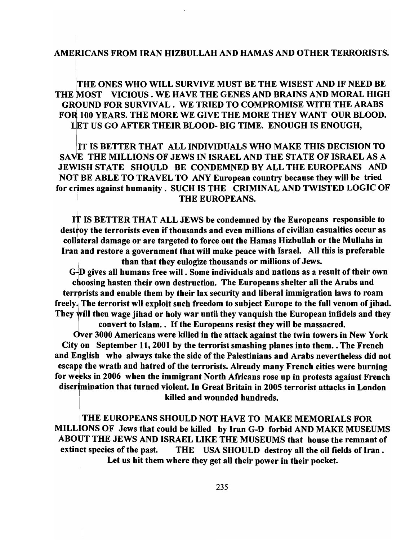#### AMErCANS FROM IRAN HIZBULLAH AND HAMAS AND OTHER TERRORISTS.

ITHE ONES WHO WILL SURVIVE MUST BE THE WISEST AND IF NEED BE THE MOST VICIOUS. WE HAVE THE GENES AND BRAINS AND MORAL HIGH GROUND FOR SURVIVAL. WE TRIED TO COMPROMISE WITH THE ARABS FOR 100 YEARS. THE MORE WE GIVE THE MORE THEY WANT OUR BLOOD. UET US GO AFTER THEIR BLOOD- BIG TIME. ENOUGH IS ENOUGH,

lIT IS BETTER THAT ALL INDIVIDUALS WHO MAKE THIS DECISION TO SAVE THE MILLIONS OF JEWS IN ISRAEL AND THE STATE OF ISRAEL AS A JEWISH STATE SHOULD BE CONDEMNED BY ALL THE EUROPEANS AND NOT BE ABLE TO TRAVEL TO ANY European country because they will be tried for crimes against humanity. SUCH IS THE CRIMINAL AND TWISTED LOGIC OF THE EUROPEANS.

IT IS BETTER THAT ALL JEWS be condemned by the Europeans responsible to destroy the terrorists even if thousands and even millions of civilian casualties occur as collateral damage or are targeted to force out the Hamas Hizbullah or the Mullahs in Iran and restore a government that will make peace with Israel. All this is preferable than that they eulogize thousands or millions of Jews.

GjD gives all humans free will. Some individuals and nations as a result of their own choosing hasten their own destruction. The Europeans shelter all the Arabs and terrprists and enable them by their lax security and liberal immigration laws to roam freely. The terrorist wll exploit such freedom to subject Europe to the full venom of jihad. They will then wage jihad or holy war until they vanquish the European infidels and they

\ convert to Islam.. If the Europeans resist they will be massacred. Over 3000 Americans were killed in the attack against the twin towers in New York City on September 11, 2001 by the terrorist smashing planes into them. The French and English who always take the side of the Palestinians and Arabs nevertheless did not escape the wrath and hatred of the terrorists. Already many French cities were burning for weeks in 2006 when the immigrant North Africans rose up in protests against French discrimination that turned violent. In Great Britain in 2005 terrorist attacks in London killed and wounded hundreds.

<sup>I</sup>THE EUROPEANS SHOULD NOT HAVE TO MAKE MEMORIALS FOR MILLlONS OF Jews that could be killed by Iran G-D forbid AND MAKE MUSEUMS ABOUT THE JEWS AND ISRAEL LIKE THE MUSEUMS that house the remnant of extinct species of the past. THE USA SHOULD destroy all the oil fields of Iran. Let us hit them where they get all their power in their pocket.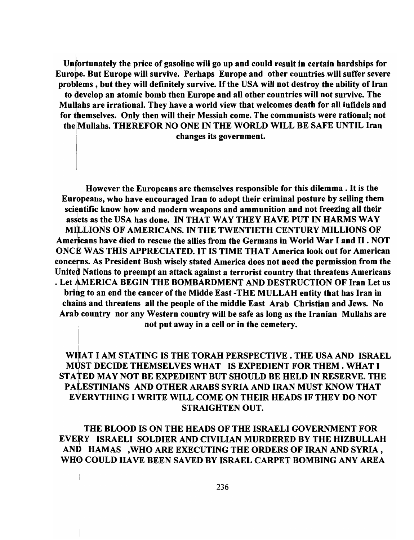Untortunately the price of gasoline will go up and could result in certain hardships for Europe. But Europe will survive. Perhaps Europe and other countries will suffer severe problems, but they will definitely survive. If the USA will not destroy the ability of Iran to develop an atomic bomb then Europe and all other countries will not survive. The Mullahs are irrational. They have a world view that welcomes death for all infidels and for themselves. Only then will their Messiah come. The communists were rational; not thelMullahs. THEREFOR NO ONE IN THE WORLD WILL BE SAFE UNTIL Iran changes its government.

I

I However the Europeans are themselves responsible for this dilemma. It is the Europeans, who have encouraged Iran to adopt their criminal posture by selling them scientific know how and modern weapons and ammunition and not freezing all their assets as the USA has done. IN THAT WAY THEY HAVE PUT IN HARMS WAY MILLIONS OF AMERICANS. IN THE TWENTIETH CENTURY MILLIONS OF Americans have died to rescue the allies from the Germans in World War I and II. NOT ONCE WAS THIS APPRECIATED. IT IS TIME THAT America look out for American concerns. As President Bush wisely stated America does not need the permission from the United Nations to preempt an attack against a terrorist country that threatens Americans . Let AMERICA BEGIN THE BOMBARDMENT AND DESTRUCTION OF Iran Let us bring to an end the cancer of the Midde East -THE MULLAH entity that has Iran in chains and threatens all the people of the middle East Arab Christian and Jews. No Arab country nor any Western country will be safe as long as the Iranian Mullahs are not put away in a cell or in the cemetery.

## WHAT I AM STATING IS THE TORAH PERSPECTIVE. THE USA AND ISRAEL MlJST DECIDE THEMSELVES WHAT IS EXPEDIENT FOR THEM. WHAT I STA tED MAY NOT BE EXPEDIENT BUT SHOULD BE HELD IN RESERVE. THE THE 22 MILL TO LEE EIN EDIENT DOT SHOOLD DE HEED IN NESENVERTHE EVERYTHING I WRITE WILL COME ON THEIR HEADS IF THEY DO NOT STRAIGHTEN OUT.

<sup>I</sup>THE BLOOD IS ON THE HEADS OF THE ISRAELI GOVERNMENT FOR EVERY ISRAELI SOLDIER AND CIVILIAN MURDERED BY THE HIZBULLAH AND HAMAS ,WHO ARE EXECUTING THE ORDERS OF IRAN AND SYRIA, WHO COULD HAVE BEEN SAVED BY ISRAEL CARPET BOMBING ANY AREA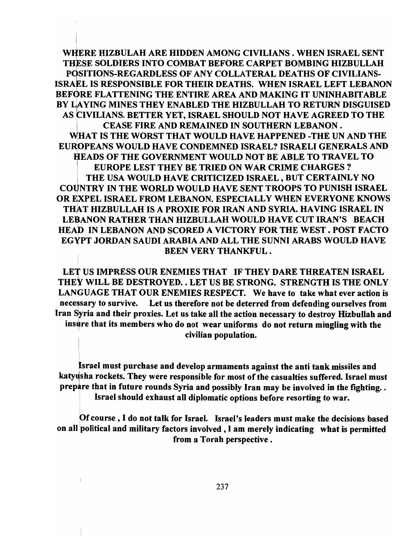WIfERE HIZBULAH ARE HIDDEN AMONG CIVILIANS. WHEN ISRAEL SENT THESE SOLDIERS INTO COMBAT BEFORE CARPET BOMBING HIZBULLAH POSITIONS-REGARDLESS OF ANY COLLATERAL DEATHS OF CIVILIANS-ISRAEL IS RESPONSIBLE FOR THEIR DEATHS. WHEN ISRAEL LEFT LEBANON BEFORE FLATTENING THE ENTIRE AREA AND MAKING IT UNINHABITABLE BY LAYING MINES THEY ENABLED THE HIZBULLAH TO RETURN DISGUISED AS C IVILIANS. BETTER YET, ISRAEL SHOULD NOT HAVE AGREED TO THE CEASE FIRE AND REMAINED IN SOUTHERN LEBANON. WHAT IS THE WORST THAT WOULD HAVE HAPPENED -THE UN AND THE EUROPEANS WOULD HAVE CONDEMNED ISRAEL? ISRAELI GENERALS AND ,EADS OF THE GOVERNMENT WOULD NOT BE ABLE TO TRAVEL TO ' EUROPE LEST THEY BE TRIED ON WAR CRIME CHARGES? THE USA WOULD HAVE CRITICIZED ISRAEL, BUT CERTAINLY NO COUNTRY IN THE WORLD WOULD HAVE SENT TROOPS TO PUNISH ISRAEL OR EXPEL ISRAEL FROM LEBANON. ESPECIALLY WHEN EVERYONE KNOWS THAT HIZBULLAH IS A PROXIE FOR IRAN AND SYRIA. HAVING ISRAEL IN LEBANON RATHER THAN HIZBULLAH WOULD HAVE CUT IRAN'S BEACH HEAD IN LEBANON AND SCORED A VICTORY FOR THE WEST. POST FACTO EGYPT JORDAN SAUDI ARABIA AND ALL THE SUNNI ARABS WOULD HAVE BEEN VERY THANKFUL.

LET US IMPRESS OUR ENEMIES THAT IF THEY DARE THREATEN ISRAEL THEY WILL BE DESTROYED. . LET US BE STRONG. STRENGTH IS THE ONLY LANGUAGE THAT OUR ENEMIES RESPECT. We have to take what ever action is necessary to survive. Let us therefore not be deterred from defending ourselves from Iran Syria and their proxies. Let us take all the action necessary to destroy Hizbullah and insure that its members who do not wear uniforms do not return mingling with the civilian population.

Israel must purchase and develop armaments against the anti tank missiles and katyusha rockets. They were responsible for most of the casualties suffered. Israel must prepare that in future rounds Syria and possibly Iran may be involved in the fighting.. Israel should exhaust all diplomatic options before resorting to war.

Of course, I do not talk for Israel. Israel's leaders must make the decisions based on all political and military factors involved, I am merely indicating what is permitted from a Torah perspective.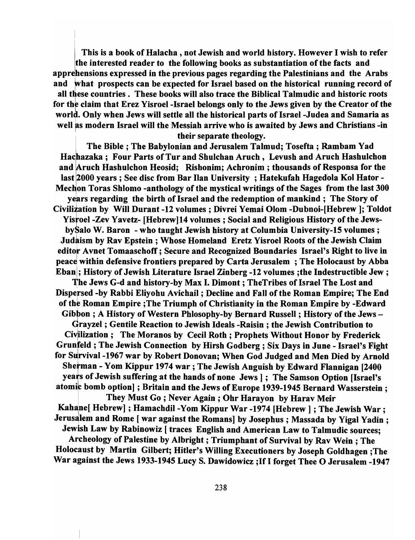This is a book of Halacha, not Jewish and world history. However I wish to refer ithe interested reader to the following books as substantiation of the facts and apprehensions expressed in the previous pages regarding the Palestinians and the Arabs and what prospects can be expected for Israel based on the historical running record of all these countries. These books will also trace the Biblical Talmudic and historic roots for the claim that Erez Yisroel-Israel belongs only to the Jews given by the Creator of the world. Only when Jews will settle all the historical parts of Israel -Judea and Samaria as well as modern Israel will the Messiah arrive who is awaited by Jews and Christians -in their separate theology.

The Bible; The Babylonian and Jerusalem Talmud; Tosefta ; Rambam Yad I He Blote, The Babyloman and Serusalem Tannud, Toseita, Rambann Tau<br>Hachazaka; Four Parts of Tur and Shulchan Aruch, Levush and Aruch Hashulchon and Aruch Hashulchon Heosid; Rishonim; Achronim ; thousands of Responsa for the last 2000 years ; See disc from Bar lIan University ; Hatekufah Hagedola Kol Hator - Mechon Toras Shlomo -anthology of the mystical writings of the Sages from the last 300 years regarding the birth of Israel and the redemption of mankind; The Story of Civilization by Will Durant -12 volumes; Divrei Yemai Olom -Dubnoi-[Hebrew]; Toldot Yisroel -Zev Yavetz- [Hebrew] 14 volumes; Social and Religious History of the JewsbySalo W. Baron - who taught Jewish history at Columbia University-15 volumes; Judaism by Rav Epstein; Whose Homeland Eretz Yisroel Roots of the Jewish Claim editor Avnet Tomaaschoff; Secure and Recognized Boundaries Israel's Right to live in peace within defensive frontiers prepared by Carta Jerusalem ; The Holocaust by Abba Ebanl; History of Jewish Literature Israel Zinberg -12 volumes ;the Indestructible Jew; <sup>1</sup> The Jews G-d and history-by Max I. Dimont ; TheTribes of Israel The Lost and Dispersed -by Rabbi Eliyohu Avichail; Decline and Fall of the Roman Empire; The End of the Roman Empire ; The Triumph of Christianity in the Roman Empire by -Edward Gibbon ; A History of Western Phlosophy-by Bernard Russell; History of the Jews -Grayzel; Gentile Reaction to Jewish Ideals -Raisin; the Jewish Contribution to Civilization; The Moranos by Cecil Roth; Prophets Without Honor by Frederick Grunfeld ; The Jewish Connection by Hirsh Godberg ; Six Days in June - Israel's Fight for Survival -1967 war by Robert Donovan; When God Judged and Men Died by Arnold Shetman - Yom Kippur 1974 war; The Jewish Anguish by Edward Flannigan [2400 years of Jewish suffering at the hands of none Jews |: The Samson Option [Israel's atomic bomb option]; Britain and the Jews of Europe 1939-1945 Bernard Wasserstein; <sup>I</sup>They Must Go ; Never Again; Ohr Harayon by Harav Meir Kahane[ Hebrew] ; Hamachdil -Yom Kippur War -1974 [Hebrew] ; The Jewish War; Jerusalem and Rome [ war against the Romans] by Josephus; Massada by Yigal Yadin; Jewish Law by Rabinowiz [traces English and American Law to Talmudic sources; Archeology of Palestine by Albright; Triumphant of Survival by Rav Wein ; The Holocaust by Martin Gilbert; Hitler's Willing Executioners by Joseph Goldhagen ;The War against the Jews 1933-1945 Lucy S. Dawidowicz ; If I forget Thee O Jerusalem -1947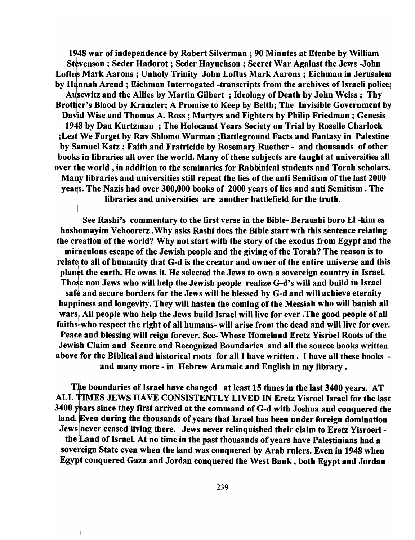1948 war of independence by Robert Silverman; 90 Minutes at Etenbe by William Stevenson; Seder Hadorot ; Seder Hayuchson ; Secret War Against the Jews -John Loftus Mark Aarons; Unholy Trinity John Loftus Mark Aarons; Eichman in Jerusalem by Hannah Arend; Eichman Interrogated -transcripts from the archives of Israeli police; Auscwitz and the Allies by Martin Gilbert ; Ideology of Death by John Weiss; Thy Brother's Blood by Kranzler; A Promise to Keep by Belth; The Invisible Government by David Wise and Thomas A. Ross; Martyrs and Fighters by Philip Friedman; Genesis 1948 by Dan Kurtzman; The Holocaust Years Society on Trial by Roselle Charlock ; Lest We Forget by Rav Shlomo Warman ; Battleground Facts and Fantasy in Palestine by Samuel Katz; Faith and Fratricide by Rosemary Ruether - and thousands of other books in libraries all over the world. Many of these subjects are taught at universities all over the world, in addition to the seminaries for Rabbinical students and Torah scholars. Many libraries and universities still repeat the lies of the anti Semitism of the last 2000 years. The Nazis had over 300,000 books of 2000 years of lies and anti Semitism. The libraries and universities are another battlefield for the truth.

See Rashi's commentary to the first verse in the Bible- Beraushi boro El-kim es hashomayim Vehooretz . Why asks Rashi does the Bible start wth this sentence relating the creation of the world? Why not start with the story of the exodus from Egypt and the miraculous escape of the Jewish people and the giving of the Torah? The reason is to relate to all of humanity that G-d is the creator and owner of the entire universe and this planet the earth. He owns it. He selected the Jews to own a sovereign country in Israel. Those non Jews who will help the Jewish people realize G-d's will and build in Israel safe and secure borders for the Jews will be blessed by G-d and will achieve eternity happiness and longevity. They will hasten the coming of the Messiah who will banish all warsl All people who help the Jews build Israel will live for ever. The good people of all faiths-who respect the right of all humans- will arise from the dead and will live for ever. Peace and blessing will reign forever. See- Whose Homeland Eretz Yisroel Roots of the Jewish Claim and Secure and Recognized Boundaries and all the source books written above]for the Biblical and historical roots for all I have written. I have all these books and many more - in Hebrew Aramaic and English in my library.

The boundaries of Israel have changed at least 15 times in the last 3400 years. AT ALL TIMES JEWS HAVE CONSISTENTLY LIVED IN Eretz Yisroel Israel for the last  $3400$  years since they first arrived at the command of G-d with Joshua and conquered the land. Even during the thousands of years that Israel has been under foreign domination Jews never ceased living there. Jews never relinquished their claim to Eretz Yisroerl the Land of Israel. At no time in the past thousands of years have Palestinians had a sovereign State even when the land was conquered by Arab rulers. Even in 1948 when Egypt conquered Gaza and Jordan conquered the West Bank, both Egypt and Jordan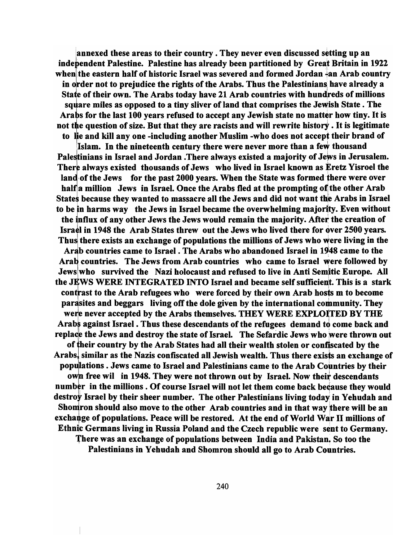annexed these areas to their country. They never even discussed setting up an independent Palestine. Palestine has already been partitioned by Great Britain in 1922 when the eastern half of historic Israel was severed and formed Jordan  $\frac{1}{4}$ an Arab country in order not to prejudice the rights of the Arabs. Thus the Palestinians have already a State of their own. The Arabs today have 21 Arab countries with hundreds of millions square miles as opposed to a tiny sliver of land that comprises the Jewish State. The Arabs for the last 100 years refused to accept any Jewish state no matter how tiny. It is not the question of size. But that they are racists and will rewrite history. It is legitimate to lie and kill any one -including another Muslim -who does not accept their brand of

Islam. In the nineteenth century there were never more than a few thousand Pale stinians in Israel and Jordan .There always existed a majority of Jews in Jerusalem. There always existed thousands of Jews who lived in Israel known as Eretz Yisroel the land of the Jews for the past 2000 years. When the State was formed there were over half a million Jews in Israel. Once the Arabs fled at the prompting of the other Arab States because they wanted to massacre all the Jews and did not want the Arabs in Israel to be in harms way the Jews in Israel became the overwhelming majority. Even without the influx of any other Jews the Jews would remain the majority. After the creation of Israel in 1948 the Arab States threw out the Jews who lived there for over 2500 years. Thus there exists an exchange of populations the millions of Jews who were living in the Arab countries came to Israel. The Arabs who abandoned Israel in 1948 came to the Arab countries. The Jews from Arab countries who came to Israel were followed by Jews who survived the Nazi holocaust and refused to live in Anti Semitic Europe. All the JEWS WERE INTEGRATED INTO Israel and became self sufficient. This is a stark contrast to the Arab refugees who were forced by their own Arab hosts m to become par asites and beggars living off the dole given by the international community. They were never accepted by the Arabs themselves. THEY WERE EXPLOITED BY THE Arabs against Israel. Thus these descendants of the refugees demand to come back and replace the Jews and destroy the state of Israel. The Sefardic Jews who were thrown out of their country by the Arab States had all their wealth stolen or confiscated by the Arabs, similar as the Nazis confiscated all Jewish wealth. Thus there exists an exchange of populations. Jews came to Israel and Palestinians came to the Arab Countries by their own free wil in 1948. They were not thrown out by Israel. Now their descendants number in the millions. Of course Israel will not let them come back because they would destroy Israel by their sheer number. The other Palestinians living today in Yehudah and Shomron should also move to the other Arab countries and in that way there will be an exchange of populations. Peace will be restored. At the end of World War II millions of Ethnic Germans living in Russia Poland and the Czech republic were sent to Germany. There was an exchange of populations between India and Pakistan. So too the Palestinians in Yehudah and Shomron should all go to Arab Countries.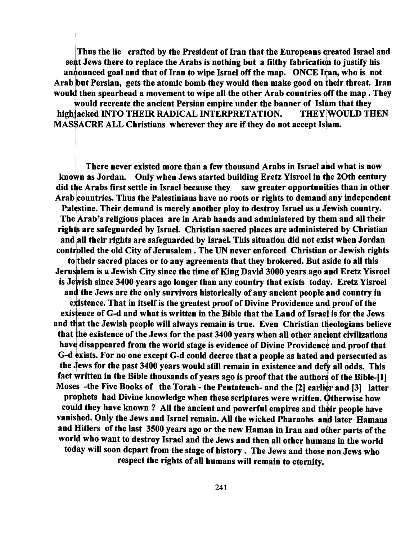Thus the lie crafted by the President of Iran that the Europeans created Israel and sent Jews there to replace the Arabs is nothing but a filthy fabrication to justify his announced goal and that of Iran to wipe Israel off the map. ONCE Iran, who is not Arab but Persian, gets the atomic bomb they would then make good on their threat. Iran would then spearhead a movement to wipe all the other Arab countries off the map. They would recreate the ancient Persian empire under the banner of Islam that they high acked INTO THEIR RADICAL INTERPRETATION. THEY WOULD THEN MASSACRE ALL Christians wherever they are if they do not accept Islam.

There never existed more than a few thousand Arabs in Israel and what is now<br>known as Jordan. Only when Jews started building Eretz Yisroel in the 20th century did the Arabs first settle in Israel because they saw greater opportunities than in other Arab countries. Thus the Palestinians have no roots or rights to demand any independent Palestine. Their demand is merely another ploy to destroy Israel as a Jewish country. The  $Arab's$  religious places are in Arab hands and administered by them and all their ights are safeguarded by Israel. Christian sacred places are administered by Christian and all their rights are safeguarded by Israel. This situation did not exist when Jordan controlled the old City of Jerusalem. The UN never enforced Christian or Jewish rights to their sacred places or to any agreements that they brokered. But aside to all this Jerusalem is a Jewish City since the time of King David 3000 years ago and Eretz Yisroel is Jewish since 3400 years ago longer than any country that exists today. Eretz Yisroel and the Jews are the only survivors historically of any ancient people and country in existence. That in itself is the greatest proof of Divine Providence and proof of the existence of G-d and what is written in the Bible that the Land of Israel is for the Jews and that the Jewish people will always remain is true. Even Christian theologians believe that the existence of the Jews for the past  $3400$  years when all other ancient civilizations have disappeared from the world stage is evidence of Divine Providence and proof that G-d exists. For no one except G-d could decree that a people as hated and persecuted as the Jews for the past 3400 years would still remain in existence and defy all odds. This fact written in the Bible thousands of years ago is proof that the authors of the Bible- $[1]$ Moses -the Five Books of the Torah - the Pentateuch- and the  $[2]$  earlier and  $[3]$  latter prophets had Divine knowledge when these scriptures were written. Otherwise how could they have known ? All the ancient and powerful empires and their people have vanished. Only the Jews and Israel remain. All the wicked Pharaohs and later Hamans and Hitlers of the last 3500 years ago or the new Haman in Iran and other parts of the world who want to destroy Israel and the Jews and then all other humans in the world today will soon depart from the stage of history. The Jews and those non Jews who respect the rights of all humans will remain to eternity.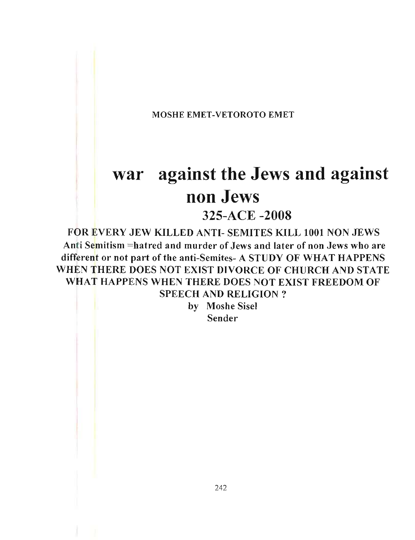MOSHE EMET-VETOROTO EMET

# **war against the Jews and against non Jews**

325-ACE -2008

FOR EVERY JEW KILLED ANTI- SEMITES KILL 1001 NON JEWS Anti Semitism =hatred and murder of Jews and later of non Jews who are different or not part of the anti-Semites- A STUDY OF WHAT HAPPENS WHEN THERE DOES NOT EXIST DIVORCE OF CHURCH AND STATE WHAT HAPPENS WHEN THERE DOES NOT EXIST FREEDOM OF SPEECH AND RELIGION?

> by Moshe Sisel Sender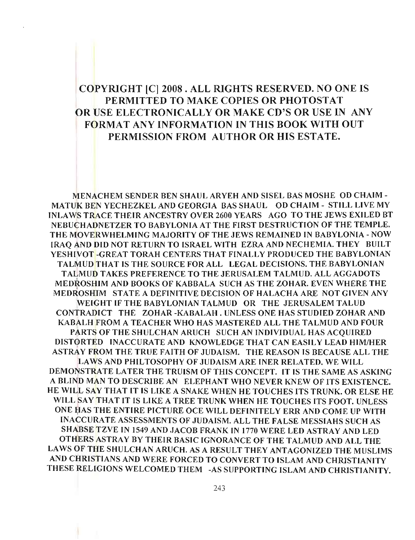## COPYRIGHT [C] 2008 . ALL RIGHTS RESERVED. NO ONE IS PERMITTED TO MAKE COPIES OR PHOTOSTAT OR USE ELECTRONICALLY OR MAKE CD'S OR USE IN ANY FORMAT ANY INFORMATION IN THIS BOOK WITH OUT PERMISSION FROM AUTHOR OR HIS ESTATE.

MENACHEM SENDER BEN SHAUL ARYEH AND SISEL BAS MOSHE OD CHAIM-MATUK BEN YECHEZKEL AND GEORGIA BAS SHAUL OD CHAIM - STILL LIVE MY INLA WS TRACE THEIR ANCESTRY OVER 2600 YEARS AGO TO THE JEWS EXILED BT NEBUCHADNETZER TO BABYLONIA AT THE FIRST DESTRUCTION OF THE TEMPLE. THE MOVERWHELMING MAJORITY OF THE JEWS REMAINED IN BABYLONIA - NOW IRAQ AND DID NOT RETURN TO ISRAEL WITH EZRA AND NECHEMIA. THEY BUILT YESHIVOT-GREAT TORAH CENTERS THAT FINALLY PRODUCED THE BABYLONIAN TALMUD THAT IS THE SOURCE FOR ALL LEGAL DECISIONS. THE BABYLONIAN TALMUD TAKES PREFERENCE TO THE JERUSALEM TALMUD. ALL AGGADOTS MEDROSHIM AND BOOKS OF KABBALA SUCH AS THE ZOHAR. EVEN WHERE THE MEDROSHIM STATE A DEFINITIVE DECISION OF HALACHA ARE NOT GIVEN ANY WEIGHT IF THE BABYLONIAN TALMUD OR THE JERUSALEM TALUD CONTRADICT THE ZOHAR -KABALAH . UNLESS ONE HAS STUDIED ZOHAR AND KABALH FROM A TEACHER WHO HAS MASTERED ALL THE TALMUD AND FOUR PARTS OF THE SHULCHAN ARUCH SUCH AN INDIVIDUAL HAS ACQUIRED DISTORTED INACCURATE AND KNOWLEDGE THAT CAN EASILY LEAD HIM/HER ASTRAY FROM THE TRUE FAITH OF JUDAISM. THE REASON IS BECAUSE ALL THE LA WS AND PHIL TOSOPHY OF JUDAISM ARE INER RELATED. WE WILL DEMONSTRATE LATER THE TRUISM OF THIS CONCEPT. IT IS THE SAME AS ASKING A BLIND MAN TO DESCRIBE AN ELEPHANT WHO NEVER KNEW OF ITS EXISTENCE. HE WILL SAY THAT IT IS LIKE A SNAKE WHEN HE TOUCHES ITS TRUNK. OR ELSE HE WILL SAY THAT IT IS LIKE A TREE TRUNK WHEN HE TOUCHES ITS FOOT. UNLESS ONE HAS THE ENTIRE PICTURE OCE WILL DEFINITELY ERR AND COME UP WITH INACCURATE ASSESSMENTS OF JUDAISM. ALL THE FALSE MESSIAHS SUCH AS SHABSE TZVE IN 1549 AND JACOB FRANK IN 1770 WERE LED ASTRAY AND LED OTHERS ASTRAY BY THEIR BASIC IGNORANCE OF THE TALMUD AND ALL THE LA WS OF THE SHULCHAN ARUCH. AS A RESULT THEY ANTAGONIZED THE MUSLIMS AND CHRISTIANS AND WERE FORCED TO CONVERT TO ISLAM AND CHRISTIANITY THESE RELIGIONS WELCOMED THEM -AS SUPPORTING ISLAM AND CHRISTIANITY.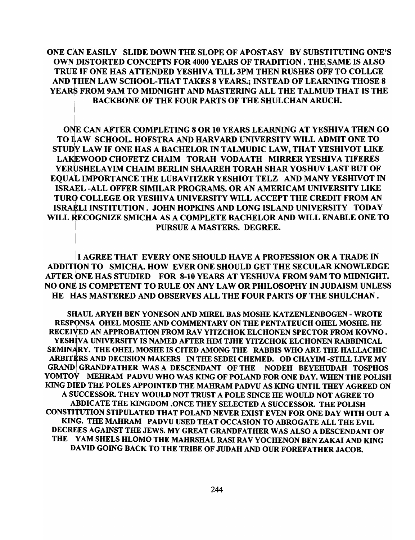ONE CAN EASILY SLIDE DOWN THE SLOPE OF APOSTASY BY SUBSTITUTING ONE'S OWN DISTORTED CONCEPTS FOR 4000 YEARS OF TRADITION. THE SAME IS ALSO TRUE IF ONE HAS ATTENDED YESHIVA TILL 3PM THEN RUSHES OFF TO COLLGE AND THEN LAW SCHOOL-THAT TAKES 8 YEARS.: INSTEAD OF LEARNING THOSE 8 YEARS FROM 9AM TO MIDNIGHT AND MASTERING ALL THE TALMUD THAT IS THE BACKBONE OF THE FOUR PARTS OF THE SHULCHAN ARUCH.

.<br>DNE CAN AFTER COMPLETING 8 OR 10 YEARS LEARNING AT YESHIVA THEN GO TO LAW SCHOOL. HOFSTRA AND HARVARD UNIVERSITY WILL ADMIT ONE TO STUDY LAW IF ONE HAS A BACHELOR IN TALMUDIC LAW, THAT YESHIVOT LIKE LAKEWOOD CHOFETZ CHAIM TORAH VODAATH MIRRER YESHIVA TIFERES YERUSHELAYIM CHAIM BERLIN SHAAREH TORAH SHAR YOSHUV LAST BUT OF EQUAL IMPORTANCE THE LUBAVITZER YESHIOT TELZ AND MANY YESHIVOT IN IsRAEL -ALL OFFER SIMILAR PROGRAMS. OR AN AMERICAM UNIVERSITY LIKE <sup>I</sup> TURO COLLEGE OR YESHIVA UNIVERSITY WILL ACCEPT THE CREDIT FROM AN ISRAELI INSTITUTION. JOHN HOPKINS AND LONG ISLAND UNIVERSITY TODAY <sup>I</sup> WILL RECOGNIZE SMICHA AS A COMPLETE BACHELOR AND WILL ENABLE ONE TO PURSUE A MASTERS. DEGREE.

<sup>I</sup>I AGREE THAT EVERY ONE SHOULD HAVE A PROFESSION OR A TRADE IN ADDITION TO SMICHA. HOW EVER ONE SHOULD GET THE SECULAR KNOWLEDGE AFTER ONE HAS STUDIED FOR 8-10 YEARS AT YESHUVA FROM 9AM TO MIDNIGHT. NO ONE IS COMPETENT TO RULE ON ANY LAW OR PHILOSOPHY IN JUDAISM UNLESS HE HAS MASTERED AND OBSERVES ALL THE FOUR PARTS OF THE SHULCHAN.

SIlAUL ARYEH BEN YONESON AND MIREL BAS MOSHE KATZENLENBOGEN - WROTE RESPONSA OHEL MOSHE AND COMMENTARY ON THE PENTATEUCH OHEL MOSHE. HE RECEIVED AN APPROBATION FROM RAV YITZCHOK ELCHONEN SPECTOR FROM KOVNO. YESHIVA UNIVERSITY IS NAMED AFTER HIM TJHE YITZCHOK ELCHONEN RABBINICAL SEMINARY. THE OHEL MOSHE IS CITED AMONG THE RABBIS WHO ARE THE HALLACHIC ARBITERS AND DECISION MAKERS IN THE SEDEI CHEMED. OD CHAYIM -STILL LIVE MY GRAND GRANDFATHER WAS A DESCENDANT OF THE NODEH BEYEHUDAH TOSPHOS YOMTOV MEHRAM PADVU WHO WAS KING OF POLAND FOR ONE DAY. WHEN THE POLISH KING DIED THE POLES APPOINTED THE MAHRAM PADVU AS KING UNTIL THEY AGREED ON A SUCCESSOR. THEY WOULD NOT TRUST A POLE SINCE HE WOULD NOT AGREE TO APDICATE THE KINGDOM .ONCE THEY SELECTED A SUCCESSOR. THE POLISH CONSTITUTION STIPULATED THAT POLAND NEVER EXIST EVEN FOR ONE DAY WITH OUT A KING. THE MAHRAM PADVU USED THAT OCCASION TO ABROGATE ALL THE EVIL DECREES AGAINST THE JEWS. MY GREAT GRANDFATHER WAS ALSO A DESCENDANT OF THE YAM SHELS HLOMO THE MAHRSHAL RASI RAV YOCHENON BEN ZAKAI AND KING DAVID GOING BACK TO THE TRIBE OF JUDAH AND OUR FOREFATHER JACOB.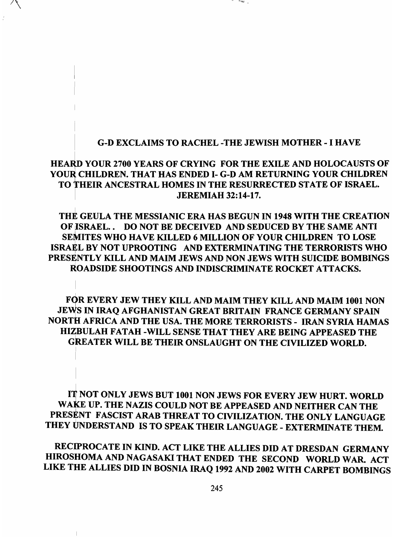#### I G-D EXCLAIMS TO RACHEL -THE JEWISH MOTHER - I HAVE

**Company** 

## HEARD YOUR 2700 YEARS OF CRYING FOR THE EXILE AND HOLOCAUSTS OF YOUR CHILDREN. THAT HAS ENDED I- G-D AM RETURNING YOUR CHILDREN TO THEIR ANCESTRAL HOMES IN THE RESURRECTED STATE OF ISRAEL. <sup>I</sup>JEREMIAH 32:14-17.

THE GEULA THE MESSIANIC ERA HAS BEGUN IN 1948 WITH THE CREATION OF ISRAEL.. DO NOT BE DECEIVED AND SEDUCED BY THE SAME ANTI SEMITES WHO HAVE KILLED 6 MILLION OF YOUR CHILDREN TO LOSE ISRAEL BY NOT UPROOTING AND EXTERMINATING THE TERRORISTS WHO PRESENTLY KILL AND MAIM JEWS AND NON JEWS WITH SUICIDE BOMBINGS ROADSIDE SHOOTINGS AND INDISCRIMINATE ROCKET ATTACKS.

FQR EVERY JEW THEY KILL AND MAIM THEY KILL AND MAIM 1001 NON JEWS IN IRAQ AFGHANISTAN GREAT BRITAIN FRANCE GERMANY SPAIN NORTH AFRICA AND THE USA. THE MORE TERRORISTS - IRAN SYRIA HAMAS HIZBULAH FATAH -WILL SENSE THAT THEY ARE BEING APPEASED THE GREATER WILL BE THEIR ONSLAUGHT ON THE CIVILIZED WORLD.

IT NOT ONLY JEWS BUT 1001 NON JEWS FOR EVERY JEW HURT. WORLD WAKE UP. THE NAZIS COULD NOT BE APPEASED AND NEITHER CAN THE PRESENT FASCIST ARAB THREAT TO CIVILIZATION. THE ONLY LANGUAGE THEY UNDERSTAND IS TO SPEAK THEIR LANGUAGE - EXTERMINATE THEM.

RECIPROCATE IN KIND. ACT LIKE THE ALLIES DID AT DRESDAN GERMANY HIROSHOMA AND NAGASAKI THAT ENDED THE SECOND WORLD WAR. ACT LIKE THE ALLIES DID IN BOSNIA IRAQ 1992 AND 2002 WITH CARPET BOMBINGS

 $\parallel$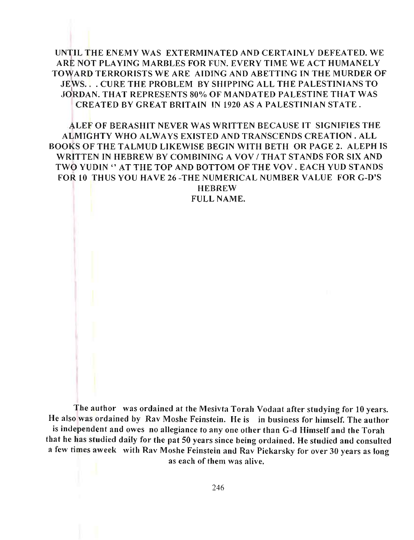UNTIL THE ENEMY WAS EXTERMINATED AND CERTAINLY DEFEATED. WE ARE NOT PLAYING MARBLES FOR FUN. EVERY TIME WE ACT HUMANELY TOWARD TERRORISTS WE ARE AIDING AND ABETTING IN THE MURDER OF JEWS. . CURE THE PROBLEM BY SHIPPING ALL THE PALESTINIANS TO JORDAN. THAT REPRESENTS 80% OF MANDATED PALESTINE THAT WAS CREATED BY GREAT BRITAIN IN 1920 AS A PALESTINIAN STATE.

ALEF OF BERASHIT NEVER WAS WRJTTEN BECAUSE IT SIGNIFIES THE ALMIGHTY WHO ALWAYS EXISTED AND TRANSCENDS CREATION. ALL BOOKS OF THE TALMUD LIKEWISE BEGIN WITH BETH OR PAGE 2. ALEPH IS WRITTEN IN HEBREW BY COMBINING A VOV / THAT STANDS FOR SIX AND TWO YUDIN" AT THE TOP AND BOTTOM OF THE VOV . EACH YUD STANDS FOR 10 THUS YOU HAVE 26 -THE NUMERICAL NUMBER VALUE FOR G-D'S HEBREW

FULL NAME.

The author was ordained at the Mesivta Torah Vodaat after studying for 10 years. He also was ordained by Rav Moshe Feinstein. He is in business for himself. The author is independent and owes no allegiance to anyone other than G-d Himself and the Torah that he has studied daily for the pat 50 years since being ordained. He studied and consulted a few times aweek with Rav Moshe Feinstein and Rav Piekarsky for over 30 years as long as each of them was alive.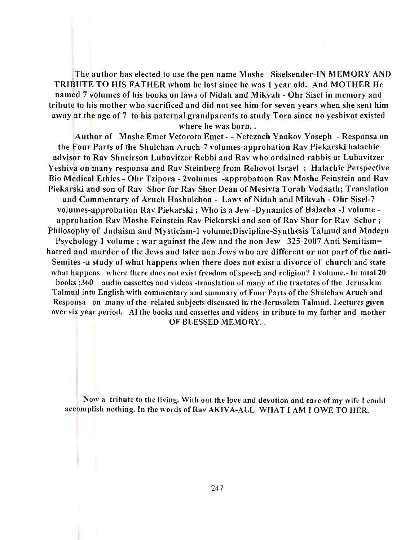The author has elected to use the pen name Moshe Siselsender-IN MEMORY AND TRIBUTE TO HIS FATHER whom he lost since he was I year old. And MOTHER He named 7 volumes of his books on laws of Nidah and Mikvah - Ohr Sisel in memory and tribute to his mother who sacrificed and did not see him for seven years when she sent him away at the age of 7 to his paternal grandparents to study Tora since no yeshivot existed where he was born..

Author of Moshe Emet Vetoroto Emet - - Netezach Yaakov Yoseph - Responsa on the Four Parts of the Shulchan Aruch-7 volumes-approbation Rav Piekarski halachic advisor to Rav Shneirson Lubavitzer Rebbi and Rav who ordained rabbis at Lubavitzer Yeshiva on many responsa and Rav Steinberg from Rehovot Israel; Halachic Perspective Bio Medical Ethics - Ohr Tzipora - 2volumes -approbatoon Rav Moshe Feinstein and Rav Piekarski and son of Rav Shor for Rav Shor Dean of Mesivta Torah Vodaath; Translation and Commentary of Aruch Hashulchon - Laws of Nidah and Mikvah - Ohr Sisel-7 volumes-approbation Rav Piekarski; Who is a Jew -Dynamics of Halacha -1 volume approbation Rav Moshe Feinstein Rav Piekarski and son of Rav Shor for Rav Schor; Philosophy of Judaism and Mysticism-I volume;Discipline-Synthesis Talmud and Modern Psychology I volume; war against the Jew and the non Jew 325-2007 Anti Semitism= hatred and murder of the Jews and later non Jews who are different or not part of the anti-Semites -a study of what happens when there does not exist a divorce of church and state what happens where there does not exist freedom of speech and religion? I volume.- In total 20 books ;360 audio cassettes and videos -translation of many of the tractates of the Jerusalem Talmud into English with commentary and summary of Four Parts of the Shulchan Aruch and Rcsponsa on many of the related subjects discussed in the Jerusalem Talmud. Lectures given over six year period. AI the books and cassettes and videos in tribute to my father and mother OF BLESSED MEMORY...

Now a tribute to the living. With out the love and devotion and care of my wife I could accomplish nothing. In the words of Rav AKIVA-ALL WHAT I AM lOWE TO HER.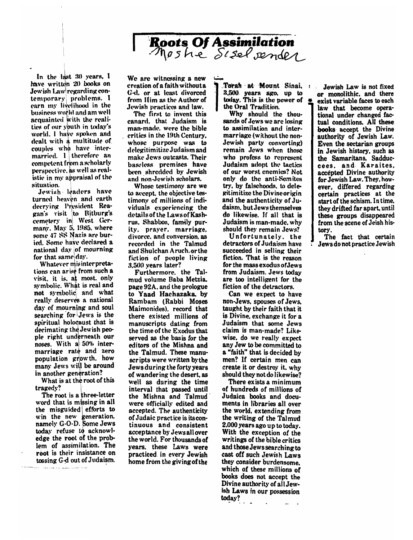

In the last  $30$  years, I have written 20 books on Jewish Law regarding contemporary problems. I earn my livelihood in the business world and am well acquainted with the realities of our youth in today's world. I have spoken and dealt with a multitude of couples who have intermarried.  $l$  therefore an competent from a scholarly perspective, as well as realistic in my appraisal of the situation.

 $\mathcal{L} = \left\{ \begin{array}{ll} 1, & \text{if } \mathcal{L} \in \mathcal{L}^{\infty} \setminus \mathcal{L}^{\infty} \setminus \mathcal{L}^{\infty} \setminus \mathcal{L}^{\infty} \setminus \mathcal{L}^{\infty} \setminus \mathcal{L}^{\infty} \setminus \mathcal{L}^{\infty} \setminus \mathcal{L}^{\infty} \setminus \mathcal{L}^{\infty} \setminus \mathcal{L}^{\infty} \setminus \mathcal{L}^{\infty} \setminus \mathcal{L}^{\infty} \setminus \mathcal{L}^{\infty} \setminus \mathcal$ 

• I

Jewish leaders have turned heaven and earth decrying President Reagan's visit to Bitburg's cemetery in West Germany. May 5, 1985. where some 47 SS Nazis are buried. Some have declared a national day of mourning<br>for that same day.

Whatever mis interpretations can arise from such a visit. it is. at most. only symbolic. What is real and not symbolic and what really deserves a national day of mourning and soul searching for Jews is the spiritual holocaust that is decimating the Jewish people right underneath our noses. With  $a\approx 50\%$  intermarriage rate and zero population growth. how many Jews will be around in another generation?

What is at the root of this  $\mathbf{f}_\mathbf{y}$ ? is a three-letter is a three-letter is a three-letter is a three-letter is a three-letter is a three-letter is a three-letter is a three-letter is a three-letter is a three-letter is a three-letter is a th

The root is a three-letter word that is missing in all d that is missing in all<br>misguided efforts to<br>the new generation. the misguided efforts to namely G-O-D. Some Jews today refuse to acknowledge the root of the problem of assimilation. The root is their insistance on tossing G-d out of Judaism.

We are witnessing a new creation of a faith without a G-d. or at least divorced from Him as the Author of Jewish practices and law.

The first to invent this canard. that Judaism is man-made, were the bible critics in the 19th Century. whose purpose was to delegitimitize Judaism and make Jews outcasts. Their baseless premises have been shredded by Jewish and non-Jewish scholars.

Whose testimony are we to accept, the objective testimony of millions of individuals experiencing the details of the Laws of Kashrus. Shabbos. family purity. prayer. marriage. divorce, and conversion, as recorded in the Talmud and Shulchan Aruch, or the fiction of people living  $3.500$  vears later?

Furthermore. the Talmud volume Baba Metzia. page 92A, and the prologue to Yaad Hachazaka, by Rambam (Rabbi Moses Maimonides). record that there existed millions of manuscripts dating from the time of the Exodus that served as the basis for the editors of the Mishna and the Talmud. These manuscripts were written by the Jews during the forty years. of wandering the desert, as well as during the time interval that passed until the Mishna and Talmud were officially edited and accepted. The authenticity of Judaic practice is its continuous and consistent acceptance by Jewsall over the world. For thousands of years. these Laws were practiced in every Jewish home from the giving of the

Tora<br>3,500<br>today<br>the O  $3,500$  years ago, up to today. This is the power of today. This is the power of  $\frac{a}{b}$  the Oral Tradition.

Why should the thousands of Jews we are losing to assimilation and intermarriage (without the non-Jewish party converting) remain Jews when those who profess to represent Judaism adopt the tactics of our worst enemics? Not only do the anti-Semites try, by falsehoods, to delegitimitize the Divine origin and the authenticity of Judaism, but Jews themselves do likewise. If all that is Judaism is man-made, why should they remain Jews?

Unfortunately. the detractors of Judaism have succeeded in selling their fiction. That is the reason for the mass exodus of Jews from Judaism. Jews todav are too intelligent for the fiction of the detractors.

Can we expect to have non-Jews, spouses of Jews. taught by their faith that it is Divine, exchange it for a Judaism that some Jews claim is man-made? Likewise, do we really expect any Jew to be committed to a "faith" that is decided by men? If certain men can create it or destroy it, why should they not do likewise?

There exists a minimum of hundreds of millions of Judaica books and docu-<br>ments in libraries all over the world, extending from the writing of the Talmud 2.000 years ago up to today. With the exception of the writings of the bible critics and those Jews searching to cast off such Jewish Laws they consider burdensome. which of these millions of books does not accept the Divine authority of all Jewish Laws in our possession today?

or monolithic, and there exist variable faces to each law that become operational under changed factual conditions. All these books accept the Divine authority of Jewish Law. Even the sectarian groups. in Jewish history, such as the Samaritans. Sadduccees, and Karaites. accepted Divine authority for Jewish Law. They, however, differed regarding certain practices at the start of the schism. In time, they drifted far apart, until these groups disappeared from the scene of Jeish his- $\frac{1}{\sqrt{2}}$  that certain  $\frac{1}{\sqrt{2}}$ tory.<br>The fact that certain Jews do not practice Jewish

Jewish Law is not fixed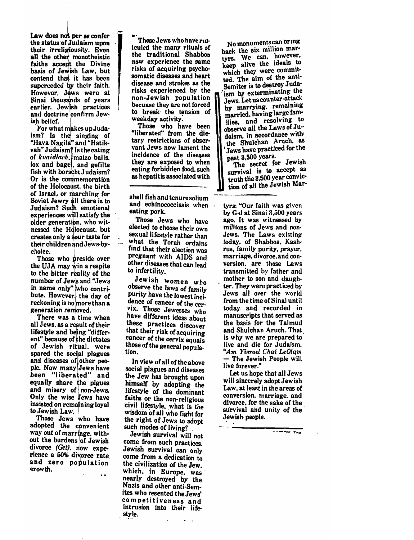, let Law does not per se confer · the status of Judaism upon their irreligiousity. Even all the other monotheistic faiths accept the Divine basis of Jewish Law. but contend that it has been superceded by their faith. However. Jews were at Sinai thousands of years earlier. Jewish practices and doctrine confirm Jewish belief.

For what makes up Juda**i** is much have a poud **i** in the singing of "Hava Nagil • and "Hatikvah" Judaism? Is the eating of *knaidlach*, matzo balls. lox and bagel, and gefilte fish with borscht Judaism? Or is the commemoration of the Holocaust, the birth of Israel, or marching for Soviet Jewry all there is to Judaism? Sudh emotional experiences will satisfy the older generation. who witnessed the Holocaust. but creates only a sour taste for their children and Jews-bychoice. . \

Those who pres ide over the UJA may win a respite to the bitter reality of the number of Jews and "Jews in name only" who contribute. However, the day of reckoning is no more than a generation removed.

There was a time when all Jews. as a result of their lifestyle and being "different" because of the dictates of Jewish ritual. were spared the social plagues tion.<br>and diseases of other peo- In pie. Now many Jews have been "liberated" and equally share the plgues and misery of non-Jews. Only the wise lews have insisted on remaining loyal to Jewish Law.

Those Jews who have adopted the cbnvenient way out of marriage. without the burdens of Jewish divorce (Get). now experience a 50% divorce rate and zero population

 $\ddot{\phantom{0}}$ 

Those Jews who have ridiculed the many rituals of the traditional Shabbos now experience the same risks of acquiring psychosomatic diseases and heart disease and strokes as the risks experienced by the non-Jewish population becuase they are not forced to break the tension of weekday activity:

Those who have been "liberated" from the dietary restrictions of observant Jews now lament the incidence of the diseases they are exposed to when eating forbidden food. such as hepatitis associated with

shell fish and tenuresolium and echinococciasis when eating pork.

Those Jews who have elected to choose their own sexual lifestyle rather than what the Torah ordains find that their election was pregnant with AIDS and oughtline with Triple and nter atouses (<br>) infertility

Jewish women who observe the laws of family purity have the lowest incidence of cancer of the cervix. Those Jewesses who have different ideas about these practices discover that their risk of acquiring cancer of the cervix equals those of the general popula-

In view of all of the above social plagues and diseases the Jew has brought upon himself by adopting the lifestyle of the dominant faiths or the non-religious civil lifestyle, what is the wisdom of all who fight for the right of Jews to adopt such modes of living?

Jewish survival will not. come from such practices. JeWish survival can only come from a dedication to the civilization of the Jew which, in Europe, was nearly destroyed by' the Nazis and other anti-Semites who resented the Jews' com petitiveness and intrusion into their life sty le.

 $\ddot{\phantom{a}}$ 

No monuments can bring back the six million martyrs. We can. however, keep alive the ideals to which they were committed. The aim of the anti-Semites is to destroy Juda-<br>ism by exterminating the Jews. Let us counter-attack<br>by marrying. remaining married, having large families, and resolving to observe all the Laws of Ju-' daism, in accordance with the Shulchan Aruch. as Jews have practiced for the<br>past 3,500 years.

The secret for Jewish survival is to accept as<br>truth the  $3,500$  year conviction of all the Jewish Mar-

tyrs: "Our faith was given by G-d at Sinai 3.500 years ago. It was witnessed by millions of Jews and non-Jews. The Laws existing today, of Shabbos. Kashrus, family purity. prayer. marriage. divorce. and conversion, are those Laws transmitted by father and mother to son and daugh- . ter. They were practiced by Jews all over the world from the time of Sinai until today. and recorded in manuscripts that served as the basis for the Talmud and Shulchan Aruch. That is why we are prepared to' live and die for Judaism. <sup>"</sup>Am Yisroel Chai LeOlam - The Jewish People will live forever."

Let us hope that all Jews will sincerely adopt Jewish Law. at least in the areas of conversion. marriage. and divorce. for the sake of the survival and unity of the Jewish people.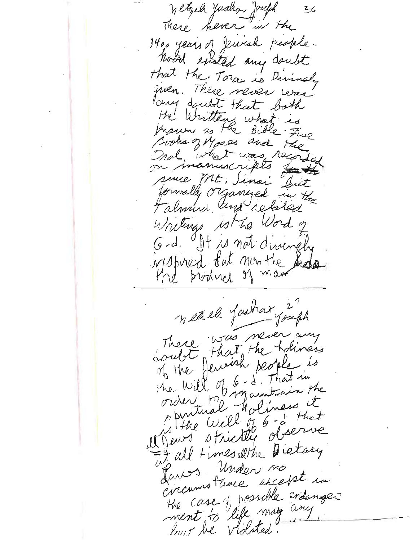Wetzel Judhon Joseph  $26$ There hever in the 3400 years of Jewish people-Nood existed any doubt that the Tora is Divinaly given. There never levas lang doubt that both the Writtens what is Known as the Bible Five Books of Mass and the what was recorde nal manuscripts for sence Mt, Sinai Duit forwally organized in the Falmus and related Writings ist he Word of G-d. It is not divinely instrued but non the Redo the broduct of man nearl Yashary 27 There was never any that the holiness of the fencish people is doubt the Will of 6- 8. That in order to maintain the maintain the is the Well of 6 -d that Mauri strictly observe It all times althe Dietary Paros Under no circumstance except in the case of possible endanger low he violated.